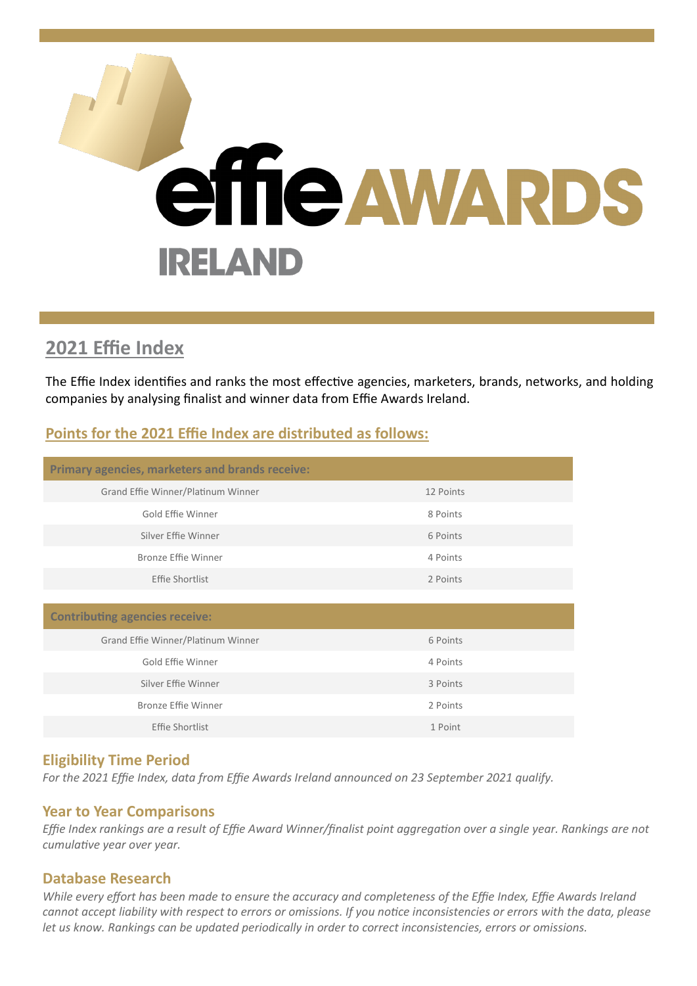

# **2021 Effie Index**

The Effie Index identifies and ranks the most effective agencies, marketers, brands, networks, and holding companies by analysing finalist and winner data from Effie Awards Ireland.

## **Points for the 2021 Effie Index are distributed as follows:**

| Primary agencies, marketers and brands receive: |           |
|-------------------------------------------------|-----------|
| Grand Effie Winner/Platinum Winner              | 12 Points |
| Gold Effie Winner                               | 8 Points  |
| Silver Effie Winner                             | 6 Points  |
| <b>Bronze Effie Winner</b>                      | 4 Points  |
| Effie Shortlist                                 | 2 Points  |
|                                                 |           |
| <b>Contributing agencies receive:</b>           |           |
| Grand Effie Winner/Platinum Winner              | 6 Points  |
| Gold Effie Winner                               | 4 Points  |
| Silver Effie Winner                             | 3 Points  |
| Bronze Effie Winner                             | 2 Points  |
| Effie Shortlist                                 | 1 Point   |

### **Eligibility Time Period**

*For the 2021 Effie Index, data from Effie Awards Ireland announced on 23 September 2021 qualify.*

### **Year to Year Comparisons**

*Effie Index rankings are a result of Effie Award Winner/finalist point aggregation over a single year. Rankings are not cumulative year over year.*

#### **Database Research**

*While every effort has been made to ensure the accuracy and completeness of the Effie Index, Effie Awards Ireland cannot accept liability with respect to errors or omissions. If you notice inconsistencies or errors with the data, please let us know. Rankings can be updated periodically in order to correct inconsistencies, errors or omissions.*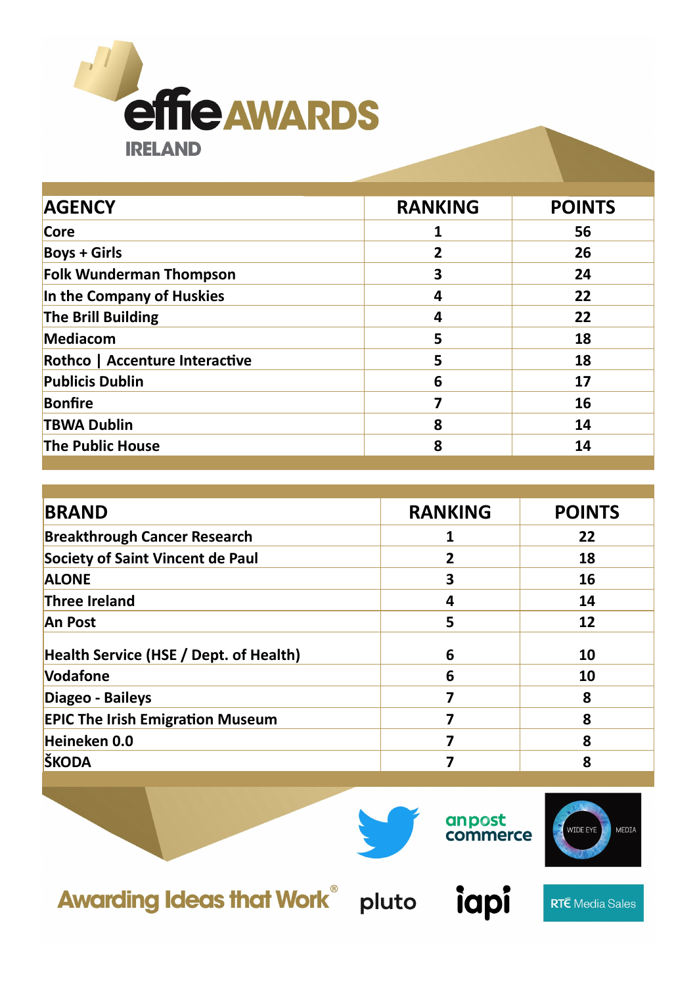

| <b>AGENCY</b>                  | <b>RANKING</b> | <b>POINTS</b> |
|--------------------------------|----------------|---------------|
| Core                           |                | 56            |
| <b>Boys + Girls</b>            | 2              | 26            |
| <b>Folk Wunderman Thompson</b> | 3              | 24            |
| In the Company of Huskies      | 4              | 22            |
| The Brill Building             | 4              | 22            |
| Mediacom                       | 5              | 18            |
| Rothco   Accenture Interactive | 5              | 18            |
| <b>Publicis Dublin</b>         | 6              | 17            |
| <b>Bonfire</b>                 | 7              | 16            |
| <b>TBWA Dublin</b>             | 8              | 14            |
| <b>The Public House</b>        | 8              | 14            |
|                                |                |               |

| <b>BRAND</b>                                  | <b>RANKING</b> | <b>POINTS</b> |
|-----------------------------------------------|----------------|---------------|
| <b>Breakthrough Cancer Research</b>           |                | 22            |
| <b>Society of Saint Vincent de Paul</b>       | 2              | 18            |
| <b>ALONE</b>                                  | 3              | 16            |
| <b>Three Ireland</b>                          | 4              | 14            |
| <b>An Post</b>                                | 5              | 12            |
| <b>Health Service (HSE / Dept. of Health)</b> | 6              | 10            |
| Vodafone                                      | 6              | 10            |
| Diageo - Baileys                              |                | 8             |
| <b>EPIC The Irish Emigration Museum</b>       |                | 8             |
| Heineken 0.0                                  |                | 8             |
| ŠKODA                                         |                | 8             |

**Awarding Ideas that Work® pluto** 



anpost<br>commerce



**RTÉ** Media Sales